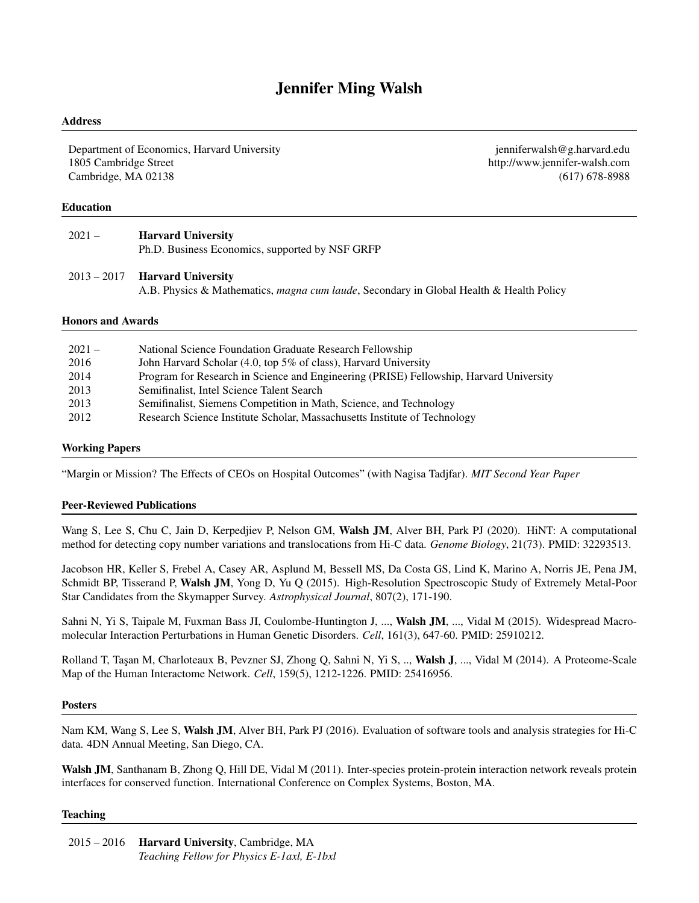# Jennifer Ming Walsh

#### Address

Department of Economics, Harvard University [jenniferwalsh@g.harvard.edu](mailto:jenniferwalsh@g.harvard.edu) 1805 Cambridge Street <http://www.jennifer-walsh.com> Cambridge, MA 02138 (617) 678-8988

#### Education

| $2021 -$ | <b>Harvard University</b>                       |
|----------|-------------------------------------------------|
|          | Ph.D. Business Economics, supported by NSF GRFP |

# 2013 – 2017 Harvard University

A.B. Physics & Mathematics, *magna cum laude*, Secondary in Global Health & Health Policy

#### Honors and Awards

| $2021 -$ | National Science Foundation Graduate Research Fellowship                               |
|----------|----------------------------------------------------------------------------------------|
| 2016     | John Harvard Scholar (4.0, top 5% of class), Harvard University                        |
| 2014     | Program for Research in Science and Engineering (PRISE) Fellowship, Harvard University |
| 2013     | Semifinalist, Intel Science Talent Search                                              |
| 2013     | Semifinalist, Siemens Competition in Math, Science, and Technology                     |
| 2012     | Research Science Institute Scholar, Massachusetts Institute of Technology              |

# Working Papers

"Margin or Mission? The Effects of CEOs on Hospital Outcomes" (with Nagisa Tadjfar). *MIT Second Year Paper*

#### Peer-Reviewed Publications

[Wang S, Lee S, Chu C, Jain D, Kerpedjiev P, Nelson GM,]( https://genomebiology.biomedcentral.com/articles/10.1186/s13059-020-01986-5) Walsh JM, Alver BH, Park PJ (2020). HiNT: A computational [method for detecting copy number variations and translocations from Hi-C data.]( https://genomebiology.biomedcentral.com/articles/10.1186/s13059-020-01986-5) *Genome Biology*, 21(73). PMID: 32293513.

[Jacobson HR, Keller S, Frebel A, Casey AR, Asplund M, Bessell MS, Da Costa GS, Lind K, Marino A, Norris JE, Pena JM,](https://iopscience.iop.org/article/10.1088/0004-637X/807/2/171/meta) Schmidt BP, Tisserand P, Walsh JM[, Yong D, Yu Q \(2015\). High-Resolution Spectroscopic Study of Extremely Metal-Poor](https://iopscience.iop.org/article/10.1088/0004-637X/807/2/171/meta) [Star Candidates from the Skymapper Survey.](https://iopscience.iop.org/article/10.1088/0004-637X/807/2/171/meta) *Astrophysical Journal*, 807(2), 171-190.

[Sahni N, Yi S, Taipale M, Fuxman Bass JI, Coulombe-Huntington J, ...,](https://www.cell.com/cell/fulltext/S0092-8674(15)00430-4) Walsh JM, ..., Vidal M (2015). Widespread Macro[molecular Interaction Perturbations in Human Genetic Disorders.](https://www.cell.com/cell/fulltext/S0092-8674(15)00430-4) *Cell*, 161(3), 647-60. PMID: 25910212.

Rolland T, Taşan M, Charloteaux B, Pevzner SJ, Zhong Q, Sahni N, Yi S, .., Walsh J, ..., Vidal M (2014). A Proteome-Scale [Map of the Human Interactome Network.](https://www.cell.com/fulltext/S0092-8674(14)01422-6) *Cell*, 159(5), 1212-1226. PMID: 25416956.

#### **Posters**

Nam KM, Wang S, Lee S, Walsh JM, Alver BH, Park PJ (2016). Evaluation of software tools and analysis strategies for Hi-C data. 4DN Annual Meeting, San Diego, CA.

Walsh JM, Santhanam B, Zhong Q, Hill DE, Vidal M (2011). Inter-species protein-protein interaction network reveals protein interfaces for conserved function. International Conference on Complex Systems, Boston, MA.

#### Teaching